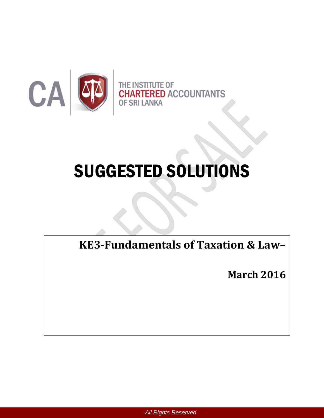

# SUGGESTED SOLUTIONS

**KE3-Fundamentals of Taxation & Law–**

**March 2016**

*All Rights Reserved*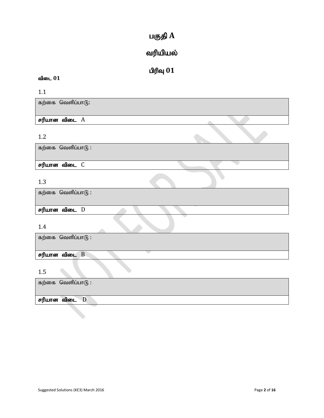# $u$ குதி $A$

# வரியியல்

# $\mathbf{d}$ ரிவு  $\mathbf{0}\mathbf{1}$

# விடை 01

1.1

கற்கை வெளிப்பா $\mathcal{G}$ :

# சரியான விடை  $A$

# 1.2

கற்கை வெளிப்பா $6$  :

 $F$ ரியான விடை $C$ 

## 1.3

| கற்கை வெளிப்பாடு : |  |  |
|--------------------|--|--|
| சரியான விடை D      |  |  |

# 1.4

| 1.7                  |
|----------------------|
| கற்கை வெளிப்பாடு :   |
|                      |
| சரியான விடை <b>B</b> |
| 1.5                  |
| கற்கை வெளிப்பாடு :   |
| சரியான விடை D        |
|                      |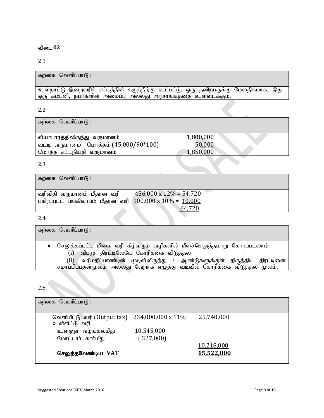## 2.1

| கற்கை வெளிப்பாடு :                                                                                                                                  |
|-----------------------------------------------------------------------------------------------------------------------------------------------------|
| உள்நாட்டு இறைவரிச் சட்டத்தின் கருத்திற்கு உட்பட்டு, ஒரு தனிநபருக்கு மேலதிகமாக, இது<br>ஒரு கம்பனி, நபா்களின் அமைப்பு அல்லது அரசாங்கத்தை உள்ளடக்கும். |
| 2.2                                                                                                                                                 |

கற்கை வெளிப்பா $6$ :

tpahghuj;jpypUe ;J tUkhdk; 1,800,000 வட்டி வருமானம் – மொத்தம்  $(45,000/90*100)$  50,000 nkhj;j rl;lepajp tUkhdk; 1,850,000

2.3

கற்கை வெளிப்பா $(f)$ :

| வரிவிதி வருமானம் மீதான வரி                                     | $456,000 \times 12\% = 54,720$ |
|----------------------------------------------------------------|--------------------------------|
| பகிரப்பட்ட பங்கிலாபம் மீதான வரி $100,000 \times 10\% = 10,000$ |                                |
|                                                                | 64,720                         |

2.4

கற்கை வெளிப்பா $f$  :

செலுத்தப்பட்ட மிகை வரி கீழ்வரும் வழிகளில் மீளச்செலுத்தமாறு கோரப்படலாம்:  $(i)$  விபரத் திரட்டிலேயே கோரிக்கை விடுத்தல்

 $(i)$  வரிமதிப்பாண்டின் முடிவிலிருந்து 3 ஆண்டுகளுக்குள் திருத்திய திரட்டினை சமா்ப்பிப்பதன்மூலம் அல்லது வேறாக எழுத்து வடிவில் கோரிக்கை விடுத்தல் மூலம்.

## 2.5

| கற்கை வெளிப்பாடு :                                                |            |            |
|-------------------------------------------------------------------|------------|------------|
| வெளியீட்டு வரி (Output tax) 234,000,000 x $11\%$<br>உள்ளீட்டு வரி |            | 25,740,000 |
| உள்ளூா் வழங்கல்மீது                                               | 10,545,000 |            |
| மோட்டார் கார்மீது                                                 | (327,000)  |            |
|                                                                   |            | 10,218,000 |
| செலுத்தவேண்டிய VAT                                                |            | 15,522,000 |
|                                                                   |            |            |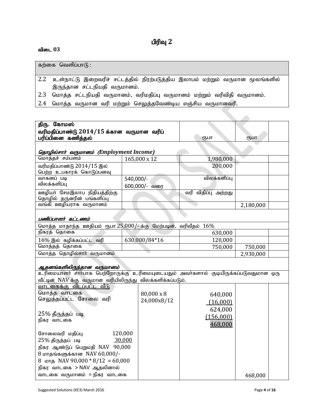# **பிரிவு** 2

## $\mathbf{a}$ ிடை  $03$

|     | கற்கை வெளிப்பாடு :                                                                                           |
|-----|--------------------------------------------------------------------------------------------------------------|
| 2.2 | உள்நாட்டு இறைவரிச் சட்டத்தில் நிரற்படுத்திய இலாபம் மற்றும் வருமான மூலங்களில்<br>இருந்தான சட்டநியதி வருமானம். |
|     | 2.3 மொத்த சட்டநியதி வருமானம், வரிமதிப்பு வருமானம் மற்றும் வரிவிதி வருமானம்.                                  |
| 2.4 | மொத்த வருமான வரி மற்றும் செலுத்தவேண்டிய எஞ்சிய வருமானவரி.                                                    |

| திரு. கோமஸ்                                                                              |           |               |                     |           |  |
|------------------------------------------------------------------------------------------|-----------|---------------|---------------------|-----------|--|
| வரிமதிப்பாண்டு 2014/15 க்கான வருமான வரிப்                                                |           |               |                     |           |  |
| பரிப்பினை கணித்தல்                                                                       |           |               | ரூபா                | ரூபா      |  |
|                                                                                          |           |               |                     |           |  |
| தொழில்சார் வருமானம் (Employment Income)                                                  |           |               |                     |           |  |
| மொத்தச் சம்பளம்                                                                          |           | 165,000 x 12  | 1,980,000           |           |  |
| வரிமதிப்பாண்டு 2014/15 இல்                                                               |           |               | 200,000             |           |  |
| பெற்ற உபகாரக் கொடுப்பனவு                                                                 |           |               |                     |           |  |
| வாகனப் படி                                                                               | 540,000/- |               | விலக்களிப்பு        |           |  |
| விலக்களிப்பு                                                                             |           | 600,000/- வரை |                     |           |  |
| ஊழியா் சேமஇலாப நிதியத்திற்கு                                                             |           |               | வரி விதிப்பு அற்றது |           |  |
| தொழில் தருனரின் பங்களிப்பு                                                               |           |               |                     |           |  |
| வங்கி ஊழியராக வருமானம்                                                                   |           |               |                     | 2,180,000 |  |
|                                                                                          |           |               |                     |           |  |
| பணிப்பாளர் கட்டணம்                                                                       |           |               |                     |           |  |
| மொத்த மாதாந்த ஊதியம் ரூபா 25,000/- க்கு மேற்படின், வரிவீதம் 16%                          |           |               |                     |           |  |
| நிகரத் தொகை                                                                              |           |               | 630,000             |           |  |
| $16\%$ இல் கழிக்கப்பட்ட வரி                                                              |           | 630,000/84*16 | 120,000             |           |  |
| மொத்தத் தொகை                                                                             |           |               | 750,000             | 750,000   |  |
| மொத்த தொழில்சார் வருமானம்                                                                |           |               |                     | 2,930,000 |  |
|                                                                                          |           |               |                     |           |  |
| ஆதனங்களிலிருந்தான வருமானம்                                                               |           |               |                     |           |  |
| .<br>உரிமையாளா் சாா்பாக பெற்றோருக்கு உரிமையுடையதும் அவா்களால் குடியிருக்கப்படுவதுமான ஒரு |           |               |                     |           |  |
| வீட்டின் NAV க்கு வருமான வரியிலிருந்து விலக்களிக்கப்படும்.                               |           |               |                     |           |  |
| வாடகைக்கு விடப்பட்ட வீடு                                                                 |           |               |                     |           |  |
| மொத்த வாடகை                                                                              |           | 80,000 x 8    | 640,000             |           |  |
| செலுத்தப்பட்ட சோலை வரி                                                                   |           | 24,000x8/12   | (16,000)            |           |  |
|                                                                                          |           |               | 624,000             |           |  |
| 25% தீருத்தப் படி                                                                        |           |               | (156,000)           |           |  |
| நிகர வாடகை                                                                               |           |               |                     |           |  |
|                                                                                          |           |               | 468,000             |           |  |
| சோலைவரி மதிப்பு                                                                          | 120,000   |               |                     |           |  |
| 25% திருத்தப் படி                                                                        | 30,000    |               |                     |           |  |
| நிகர ஆண்டுப் பெறுமதி NAV 90,000                                                          |           |               |                     |           |  |
| 8 மாதங்களுக்கான NAV 60,000/-                                                             |           |               |                     |           |  |
| 8 ил-д NAV 90,000 $*$ 8/12 = 60,000                                                      |           |               |                     |           |  |
| நிகர வாடகை > NAV ஆதலினால்                                                                |           |               |                     |           |  |
| வாடகை வருமானம் = நிகர வாடகை                                                              |           |               |                     | 468,000   |  |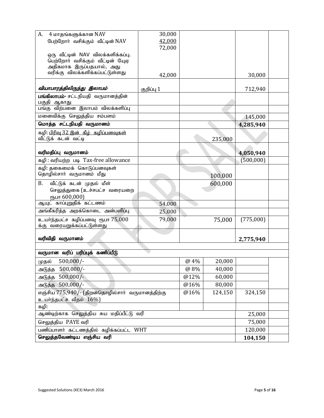| A.<br>4 மாதங்களுக்கான NAV                                   | 30,000     |      |         |           |  |
|-------------------------------------------------------------|------------|------|---------|-----------|--|
| பேற்றோர் வசிக்கும் வீட்டின் NAV                             | 42,000     |      |         |           |  |
|                                                             | 72,000     |      |         |           |  |
| ஒரு வீட்டின் NAV விலக்களிக்கப்பு.                           |            |      |         |           |  |
| பெற்றோா் வசிக்கும் வீட்டின் யேஏ<br>அதிகமாக இருப்பதயால், அது |            |      |         |           |  |
| வரிக்கு விலக்களிக்கப்பட்டுள்ளது                             | 42,000     |      |         | 30,000    |  |
|                                                             |            |      |         |           |  |
| வியாபாரத்திலிருந்து இலாபம்                                  | குறிப்பு 1 |      |         | 712,940   |  |
| பங்கிலாபம்- சட்டநியதி வருமானத்தின்                          |            |      |         |           |  |
| பகுதி ஆகாது<br>பங்கு விற்பனை இலாபம் விலக்களிப்பு            |            |      |         |           |  |
| மனைவிக்கு செலுத்திய சம்பளம்                                 |            |      |         | 145,000   |  |
| மொத்த சட்டநியதி வருமானம்                                    |            |      |         |           |  |
|                                                             |            |      |         | 4,285,940 |  |
| கழி: பிரிவு 32 இன் கீழ் கழிப்பனவுகள்<br>வீட்டுக் கடன் வட்டி |            |      | 235,000 |           |  |
|                                                             |            |      |         |           |  |
| வரிமதிப்பு வருமானம்                                         |            |      |         | 4,050,940 |  |
| கழி: வரியற்ற படி Tax-free allowance                         |            |      |         | (500,000) |  |
| கழி: தகைமைக் கொடுப்பனவுகள்                                  |            |      |         |           |  |
| தொழில்சாா் வருமானம் மீது                                    |            |      | 100,000 |           |  |
| <b>B.</b><br>வீட்டுக் கடன் முதல் மீள்                       |            |      | 600,000 |           |  |
| செலுத்துகை (உச்சபட்ச வரையறை                                 |            |      |         |           |  |
| ரூபா 600,000)                                               |            |      |         |           |  |
| ஆயுட் காப்புறுதிக் கட்டணம்                                  | 54,000     |      |         |           |  |
| அங்கீகரித்த அறக்கொடை அன்பளிப்பு                             | 25,000     |      |         |           |  |
| உயர்ந்தபட்ச கழிப்பனவு ரூபா 75,000                           | 79,000     |      | 75,000  | (775,000) |  |
| க்கு வரையறுக்கப்பட்டுள்ளது                                  |            |      |         |           |  |
| வரிவிதி வருமானம்                                            |            |      |         | 2,775,940 |  |
|                                                             |            |      |         |           |  |
| வருமான வரிப் பரிப்புக் கணிப்பீடு                            |            |      |         |           |  |
| $500,000/-$<br>முதல்                                        |            | @ 4% | 20,000  |           |  |
| $500,000/-$<br>அடுத்த                                       | 40,000     |      |         |           |  |
| அடுத்த 500,000/-                                            |            |      |         |           |  |
| அடுத்த 500,000/-                                            |            |      |         |           |  |
| எஞ்சிய 775,940/- (திறன்தொழில்சார் வருமானத்திற்கு            | 324,150    |      |         |           |  |
| உயர்ந்தபட்ச வீதம் 16%)                                      |            |      |         |           |  |
| கழி:                                                        |            |      |         |           |  |
| ஆண்டிற்காக செலுத்திய சுய மதிப்பீட்டு வரி                    | 25,000     |      |         |           |  |
| செலுத்திய PAYE வரி                                          | 75,000     |      |         |           |  |
| பணிப்பாளர் கட்டணத்தில் கழிக்கப்பட்ட WHT                     | 120,000    |      |         |           |  |
| செலுத்தவேண்டிய எஞ்சிய வரி                                   | 104,150    |      |         |           |  |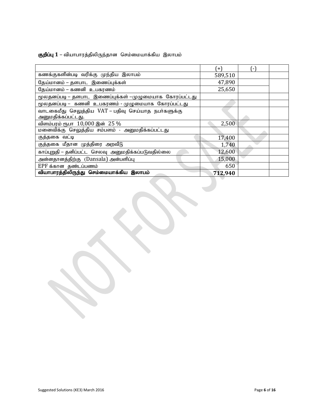## கு**றிப்பு 1** – வியாபாரத்திலிருந்தான செம்மையாக்கிய இலாபம்

|                                                        | $+$     | ٠. |  |
|--------------------------------------------------------|---------|----|--|
| கணக்குகளின்படி வரிக்கு முந்திய இலாபம்                  | 589,510 |    |  |
| தேய்மானம் – தளபாட இணைப்புக்கள்                         | 47,890  |    |  |
| தேய்மானம் – கணனி உபகரணம்                               | 25,650  |    |  |
| மூலதனப்படி – தளபாட இணைப்புக்கள் –முழுமையாக கோரப்பட்டது |         |    |  |
| மூலதனப்படி – கணனி உபகரணம் - முழுமையாக கோரப்பட்டது      |         |    |  |
| வாடகைமீது செலுத்திய VAT – பதிவு செய்யாத நபா்களுக்கு    |         |    |  |
| அனுமதிக்கப்பட்டது.                                     |         |    |  |
| விளம்பரம் ரூபா 10,000 இன் 25 %                         | 2,500   |    |  |
| மனைவிக்கு செலுத்திய சம்பளம் - அனுமதிக்கப்பட்டது        |         |    |  |
| குத்தகை வட்டி                                          | 17,400  |    |  |
| குத்தகை மீதான முத்திரை அறவீடு                          | 1,740   |    |  |
| காப்புறுதி – தனிப்பட்ட செலவு அனுமதிக்கப்படுவதில்லை     | 12,600  |    |  |
| அன்னதானத்திற்கு (Dansala) அன்பளிப்பு                   | 15,000  |    |  |
| EPF க்கான தண்டப்பணம்                                   | 650     |    |  |
| வியாபாரத்திலிருந்து செம்மையாக்கிய இலாபம்               | 712,940 |    |  |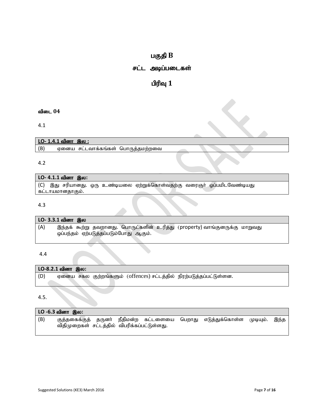# $u$ குதி  $B$

# சட்ட அடிப்படைகள்

# $\mathbf{u}$ ரிவு  $\mathbf{1}$

## $\mathbf{d}$ ிடை  $04$

4.1

|     | <u>LO- 1.4.1 வினா இல :</u>        |  |  |
|-----|-----------------------------------|--|--|
| (B) | ஏனைய சட்டவாக்கங்கள் பொருத்தமற்றவை |  |  |
|     |                                   |  |  |
|     |                                   |  |  |

# $LO-4.1.1$  வினா இல:

(C) இது சரியானது. ஒரு உண்டியலை ஏற்றுக்கொள்வதற்கு வரைஞர் ஒப்பமிடவேண்டியது <u>கட்டாயமானதாகும்.</u>

#### 4.3

| LO- 3.3.1 வினா இல |  |                                       |                                                                             |  |
|-------------------|--|---------------------------------------|-----------------------------------------------------------------------------|--|
| (A)               |  | ஒப்பந்தம் ஏற்படுத்தப்படும்போது ஆகும். | இந்தக் கூற்று தவறானது. பொருட்களின் உரித்து (property) வாங்குனருக்கு மாறுவது |  |

#### 4.4

|     | LO-8.2.1 வினா இல: |  |                                                            |  |
|-----|-------------------|--|------------------------------------------------------------|--|
| (D) | ஏனைய சகல          |  | குற்றங்களும் (offences) சட்டத்தில் நிரற்படுத்தப்பட்டுள்ளன. |  |
|     |                   |  |                                                            |  |

4.5.

| LO -6.3 வினா இல: |                                              |  |  |  |  |                                                              |          |      |
|------------------|----------------------------------------------|--|--|--|--|--------------------------------------------------------------|----------|------|
| (B)              | விதிமுறைகள் சட்டத்தில் விபரிக்கப்பட்டுள்ளது. |  |  |  |  | குத்தகைக்குத் தருனா் நீதிமன்ற கட்டளையை பெறாது எடுத்துக்கொள்ள | (ФІФЩІЮ. | இந்த |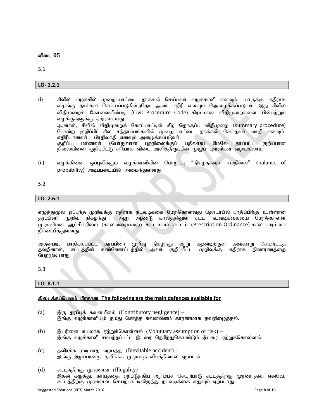5.1

#### **LO- 1.2.1**

- (i) rptpy; tof;fpy; Kiwg;ghl;il jhf;fy; nra;gth; tof;fhsp vdTk;> ahUf;F vjpuhf வழங்கு தாக்கல் செய்யப்படுகின்றதோ அவா் எதிரி எனவும் அெழைக்கப்படுவா். இது சிவில் விதிமுறைக் கோவையின்படி (Civil Procedure Code) கிரமமான விதிமுறைகளை பின்பற்றும் வழக்குகளுக்கு ஏற்புடையது. ஆனால், சிவில் விதிமுறைக் கோட்பாட்டின் கீழ் தொகுப்பு விதிமுறை (summary procedure) போன்ற குறிப்பிட்டசில சந்தர்ப்பங்களில் முறைப்பாட்டை தாக்கல் செய்தவர் வாதி எனவும், எதிரியானவர் பிரதிவாதி எனவும் அமைக்கப்படுவர். குறிப்பு: மாணவா் (பொதுவான புறநிலைக்குப் பதிலாக) மேலே தரப்பட்ட குறிப்பான நிலையினை குறிப்பிட்டு சரியாக விடை அளித்திருப்பின் முழுப் புள்ளிகள் வழங்கலாம்.
- (ii) வழக்கினை ஒப்புவிக்கும் வழக்காளியின் பொறுப்பு "நிகழ்தகவுச் சமநிலை" (balance of probability) அடிப்படையில் அமைந்துள்ளது.

#### 5.2

#### **LO- 2.6.1**

எழுத்துமூல ஒப்பந்த முறிவுக்கு எதிராக நடவடிக்கை மேற்கொள்வது தொடா்பில் பாதிப்பிற்கு உள்ளான<br>தரப்பினா் முறிவு நிகழ்ந்து ஆறு ஆண்டு காலத்தினுள் சட்ட நடவடிக்கையை மேற்கொள்ள ஆறு ஆண்டு காலத்தினுள் சட்ட நடவடிக்கையை மேற்கொள்ள (முடியுமென ஆட்சியுரிமை (காலவரையறை) கட்டளைச் சட்டம் (Prescription Ordinance) கால வரம்பை நிர்ணயித்துள்ளது.

அதன்படி, பாதிக்கப்பட்ட தரப்பினா் முறிவு நிகழ்ந்து ஆறு ஆண்டிற்குள் அவ்வாறு செயற்படத்<br>தவறினால், சட்டத்தின் கண்ணோட்டத்தில் அவா் குறிப்பிட்ட முறிவுக்கு எதிராக நிவாரணத்தை கண்ணோட்டத்தில் அவர் குறிப்பிட்ட முறிவுக்கு எதிராக நிவாரணத்தை பெறமுடியாது.

5.3

#### **LO- 8.1.1**

#### fpilf;fg;ngWk; gpujhd **The following are the main defences available for**

- (a)  $\mathbb{R}$   $\mathbb{R}$   $\mathbb{R}$   $\mathbb{R}$   $\mathbb{R}$   $\mathbb{R}$  as a set allows the Contributory negligence) இங்கு வழக்காளியும் தமது சொத்த கவனவீனம் காரணமாக தவறிழைத்தல்.
- (b)  $\quad$  இடரினை சுயமாக ஏற்றுக்கொள்ளல் (Voluntary assumption of risk) இங்கு வழக்காளி சம்பந்தப்பட்ட இடரை தெரிந்துகொண்டும் இடரை ஏற்றுக்கொள்ளல்.
- (c) தவிர்க்க முடியாத வழபத்து (Inevitable accident) .<br>இங்கு இழப்பானது தவிர்க்க முடியாத விபத்தினால் ஏற்படல்.
- (d) சட்டத்திற்கு முரணான (Illegality) இதன் கருத்து, காயத்தை ஏற்படுத்திய ஆரம்பச் செயற்பாடு சட்டத்திற்கு முரணாதல். எனவே, சட்டத்திற்கு முரணான செயற்பாட்டிலிருந்து நடவடிக்கை எதுவும் ஏற்படாது.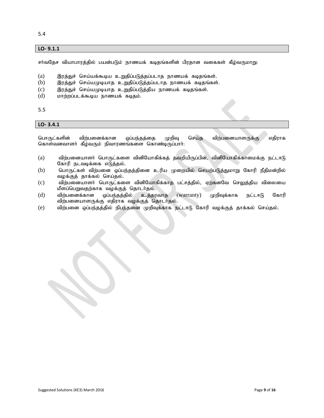5.4

#### **LO- 9.1.1**

சா்வதேச வியாபாரத்தில் பயன்படும் நாணயக் கடிதங்களின் பிரதான வகைகள் கீழ்வருமாறு:

- (a) இரத்துச் செய்யக்கூடிய உறுதிப்படுத்தப்படாத நாணயக் கடிதங்கள்.
- $(b)$  இரத்துச் செய்யமுடியாத உறுதிப்படுத்தப்படாத நாணயக் கடிதங்கள்.
- $(c)$  இரத்துச் செய்யமுடியாத உறுதிப்படுத்திய நாணயக் கடிதங்கள்.
- $(d)$  photomorphic phase of the formula  $\delta$  by  $\delta$ .

5.5

#### **LO- 3.4.1**

பொருட்களின் விற்பனைக்கான ஒப்பந்தத்தை முறிவு செய்த விற்பனையாளருக்கு எதிராக கொள்வனவாளர் கீழ்வரும் நிவாரணங்களை கொண்டிருப்பார்.

- $(a)$  விற்பனையாளா் பொருட்களை வினியோகிக்கத் தவறியிருப்பின், வினியோகிக்காமைக்கு நட்டாடு கோரி நடவடிக்கை எடுத்தல்.
- (b) பொருட்கள் விற்பனை ஒப்பந்தத்தினை உரிய முறையில் செயற்படுத்துமாறு கோரி நீதிமன்றில் வழக்குத் தாக்கல் செய்தல்.
- (c) விற்பனையாளா் பொருட்களை வினியோகிக்காத பட்சத்தில், ஏற்கனவே செலுத்திய விலையை மீளப்பெறுவதற்காக வழக்குத் தொடர்தல்.<br>விற்பனைக்கான வப்பந்தத்தில் உத்தா
- $\delta$  (d) விற்பனைக்கான வப்பந்தத்தில் உத்தரவாத (warranty) முறிவக்காக நட்டஈடு கோரி விற்பனையாளருக்கு எதிராக வழக்குத் தொடர்தல்.
- (e) விற்பனை ஒப்பந்தத்தில் நிபந்தனை முறிவுக்காக நட்டஈடு கோரி வழக்குத் தாக்கல் செய்தல்.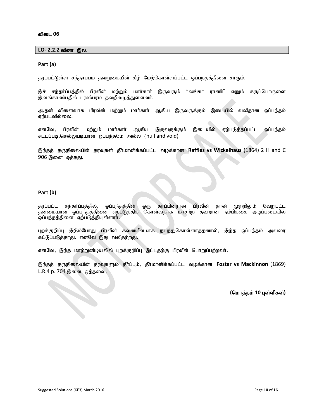#### $LO-2.2.2$  வினா இல.

#### **Part (a)**

தரப்பட்டுள்ள சந்தா்ப்பம் தவறுகையின் கீழ் மேற்கொள்ளப்பட்ட ஒப்பந்தத்தினை சாரும்.

இச் சந்தா்ப்பத்தில் பிரவீன் மற்றும் மாா்காா் இருவரும் "லங்கா ராணி" எனும் கருப்பொருளை இனங்காண்பதில் பரஸ்பரம் தவறிழைத்துள்ளனர்.

ஆதன் விளைவாக பிரவீன் மற்றும் மார்கார் ஆகிய இருவருக்கும் இடையில் வலிதான ஒப்பந்தம் ஏற்படவில்லை.

எனவே, பிரவீன் மற்றும் மார்கார் ஆகிய இருவருக்கும் இடையில் ஏற்படுத்தப்பட்ட ஒப்பந்தம்  $F$ ட்டப்படி,செல்லுபடியான ஒப்பந்தமே அல்ல (null and void)

இந்தத் தருநிலையின் தரவுகள் தீர்மானிக்கப்பட்ட வழக்கான Raffles vs Wickelhaus (1864) 2 H and C 906 இனை ஒத்தது.

#### **Part (b)**

தரப்பட்ட சந்தா்ப்பத்தில், ஒப்பந்தத்தின் ஒரு தரப்பினரான பிரவீன் தான் முற்றிலும் வேறுபட்ட தன்மையான ஒப்பந்தத்தினை ஏற்படுத்திக் கொள்வதாக மாசற்ற தவறான நம்பிக்கை அடிப்படையில் ஒப்பந்தத்தினை ஏற்படுத்தியுள்ளார்.

புறக்குறிப்பு இடும்போது பிரவீன் கவனயீனமாக நடந்துகொள்ளாததனால், இந்த ஒப்பந்தம் அவரை கட்டுப்படுத்தாது. எனவே இது வலிதற்றது.

எனவே, இந்த மாற்றுண்டியலில் புறக்குறிப்பு இட்டதற்கு பிரவீன் பொறுப்பற்றவர்.

இந்தத் தருநிலையின் தரவுகளும் தீர்ப்பும், தீர்மானிக்கப்பட்ட வழக்கான Foster vs Mackinnon (1869) L.R.4 p. 704 இனை ஒத்தவை.

 $($ மொத்தம் 10 புள்ளிகள்)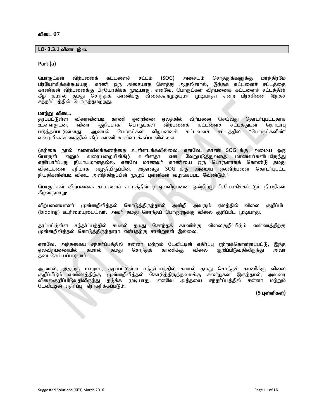#### $LO-3.3.1$  வினா இல.

#### **Part (a)**

பொருட்கள் விற்பனைக் கட்டளைச் சட்டம் (SOG) அசையும் சொத்துக்களுக்கு மாத்திரமே பிரயோகிக்கக்கூடியது. காணி ஒரு அசையாத சொத்து ஆதலினால், இந்தக் கட்டளைச் சட்டத்தை காணிகன் விற்பனைக்கு பிரயோகிக்க முடியாது. எனவே, பொருட்கள் விற்பனைக் கட்டளைச் சட்டத்தின் கீழ் கமால் தமது சொந்தக் காணிக்கு விலைகூறமுடியுமா முடியாதா என்ற பிரச்சினை இந்தச் சந்தா்ப்பத்தில் பொருத்தமற்றது.

#### மாற்று விடை:

தரப்பட்டுள்ள வினாவின்படி காணி ஒன்றினை ஏலத்தில் விற்பனை செய்வது தொடர்புபட்டதாக<br>உள்ளதுடன், வினா குறிப்பாக பொருட்கள் விற்பனைக் கட்டளைச் சட்டத்துடன் தொடர்பு சட்டத்துடன் படுத்தப்பட்டுள்ளது. ஆனால் பொருட்கள் விற்பனைக் கட்டளைச் சட்டத்தில் "பொருட்களின்" வரைவிலக்கணத்தின் கீழ் காணி உள்ளடக்கப்படவில்லை.

(கற்கை நூல் வரைவிலக்கணத்தை உள்ளடக்கவில்லை. எனவே, காணி SOG க்கு அமைய ஒரு<br>பொருள் எனும் வரையறையின்கீழ் உள்ளதா என வேறுபடுத்துவதை மாணவர்களிடமிருந்து என வேறுபடுத்துவதை மாணவர்களிடமிருந்து<br>காணியை ஒரு பொருளாகக் கொண்டு தமது எதிர்பார்ப்பது நியாயமானதல்ல. எனவே மாணவர் விடைகளை சரியாக எழுகியிருப்பின், அதாவது SOG க்கு அமைய ஏலவிற்பனை தொடர்புபட்ட நியதிகளின்படி விடை அளித்திருப்பின் முழுப் புள்ளிகள் வழங்கப்பட வேண்டும்.)

பொருட்கள் விற்பனைக் கட்டளைச் சட்டத்தின்படி ஏலவிற்பனை ஒன்றிற்கு பிரயோகிக்கப்படும் நியதிகள் கீழ்வருமாறு:

விற்பனையாளா் முன்னறிவித்தல் கொடுத்திருந்தால் அன்றி அவரும் ஏலத்தில் விலை குறிப்பிட (bidding) உரிமையுடையவா். அவா் தமது சொந்தப் பொருளுக்கு விலை குறிப்பிட முடியாது.

தரப்பட்டுள்ள சந்தர்ப்பத்தில் கமால் தமது சொந்தக் காணிக்கு விலைகுறிப்பிடும் எண்ணத்திற்கு முன்னறிவித்தல் கொடுத்திருந்தாரா என்பதற்கு சான்றுகள் இல்லை.

எனவே, அத்தகைய சந்தர்ப்பத்தில் சன்னா மற்றும் டேவிட்டின் எதிர்ப்பு ஏற்றுக்கொள்ளப்பட்டு, இந்த<br>ஏலவிற்பனையில் கமால் தமது சொந்தக் காணிக்கு விலை குறிப்பிடுவதிலிருந்து அவர் குறிப்பிடுவதிலிருந்து தடைசெய்யப்படுவார்.

ஆனால், இதற்கு மாறாக, தரப்பட்டுள்ள சந்தர்ப்பத்தில் கமால் தமது சொந்தக் காணிக்கு விலை<br>குறிப்பிடும் எண்ணக்கிற்கு முன்னறிவிக்கல் கொடுக்கிருந்கமைக்கு சான்றுகள் இருந்கால். அவரை குறிப்பிடும் எண்ணத்திற்கு முன்னறிவித்தல் கொடுத்திருந்தமைக்கு சான்றுகள் இருந்தால், அவரை<br>விலைகுறிப்பிடுவதிலிருந்து தடுக்க முடியாது. எனவே அக்கயை சந்தர்ப்பத்தில் சன்னா மற்றும் குடுக்க முடியாது. எனவே அக்கயை சந்தர்ப்பக்கில் சன்னா டேவிட்டின் எதிர்ப்பு நிராகரிக்கப்படும்.

#### $(5 \text{ L} \cdot \text{C} \cdot \text{C} \cdot \text{D} \cdot \text{D} \cdot \text{D} \cdot \text{D} \cdot \text{D} \cdot \text{D} \cdot \text{D} \cdot \text{D} \cdot \text{D} \cdot \text{D} \cdot \text{D} \cdot \text{D} \cdot \text{D} \cdot \text{D} \cdot \text{D} \cdot \text{D} \cdot \text{D} \cdot \text{D} \cdot \text{D} \cdot \text{D} \cdot \text{D} \cdot \text{D} \cdot \text{D} \cdot \text{D} \cdot \text{D} \cdot \text{D} \cdot \text{D} \cdot \text{D} \cdot \$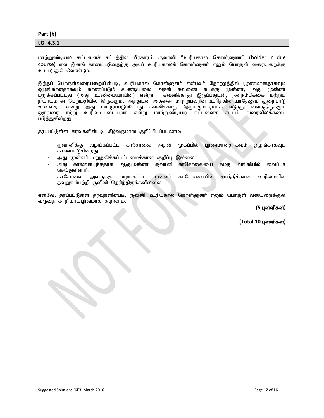#### **Part (b)**

**LO- 4.3.1**

மாற்றுண்டியல் கட்டளைச் சட்டத்தின் பிரகாரம் ருவானி "உரியகால கொள்ளுனர்" (holder in due course) என இனங் காணப்படுவதற்கு அவா் உரியகாலக் கொள்ளுனா் எனும் பொருள் வரையறைக்கு உட்படுதல் வேண்டும்.

இந்தப் பொருள்வரையறையின்படி, உரியகால கொள்ளுனர் என்பவர் தோற்றத்தில் பூரணமானதாகவும்<br>ஒழுங்கானதாகவும் காணப்படும் உண்டியலை அதன் தவணை கடக்கு முன்னர், அது முன்னர் ஒழுங்கானதாகவும் காணப்படும் உண்டியலை அதன்<br>மறுக்கப்பட்டது (அது உண்மையாயின்) என்று கவ $\epsilon$ கவனிக்காது இருப்பதுடன், நன்நம்பிக்கை மற்றும் நியாயமான பெறுமதியில் இருக்கும், அத்துடன் அதனை மாற்றுபவரின் உரித்தில் யாதேனும் குறைபாடு உள்ளதா என்று அது மாற்றப்படும்போது கவனிக்காது இருக்கும்படியாக எடுத்து வைத்திருக்கும்<br>ஒருவரை ஈற்று உரிமையுடையவர் என்று மாற்றுண்டியற் கட்டளைச் சட்டம் வரைவிலக்கணப் உரிமையுடையவர் என்று மாற்றுண்டியற் படுத்துகின்றது.

தரப்பட்டுள்ள தரவுகளின்படி, கீழ்வருமாறு குறிப்பிடப்படலாம்:

- ருவானிக்கு வழங்கப்பட்ட காசோலை அதன் முகப்பில் பூரணமானதாகவும் ஒழுங்காகவும் காணப்படுகின்றது.
- அது முன்னர் மறுதலிக்கப்பட்டமைக்கான குறிப்பு இல்லை.
- அது காலங்கடந்ததாக ஆகுமுன்னர் ருவானி காசோலையை தமது வங்கியில் வைப்புச் செய்துள்ளார்.
- காசோலை அவருக்கு வழங்கப்பட முன்னர் காசோலையின் சமந்திக்கான உரிமையில் தவறுகள்பற்றி ருவினி தெரிந்திருக்கவில்லை.

எனவே, காப்பட்டுள்ள தரவுகளின்படி, ருவினி உரியகால கொள்ளுனர் எனும் பொருள் வயைறைக்குள் வருவதாக நியாயபூர்வமாக கூறலாம்.

#### $(5 \text{ L} \cdot \text{C} \cdot \text{S} \cdot \text{D} \cdot \text{D} \cdot \text{D} \cdot \text{D} \cdot \text{D} \cdot \text{D} \cdot \text{D} \cdot \text{D} \cdot \text{D} \cdot \text{D} \cdot \text{D} \cdot \text{D} \cdot \text{D} \cdot \text{D} \cdot \text{D} \cdot \text{D} \cdot \text{D} \cdot \text{D} \cdot \text{D} \cdot \text{D} \cdot \text{D} \cdot \text{D} \cdot \text{D} \cdot \text{D} \cdot \text{D} \cdot \text{D} \cdot \text{D} \cdot \text{D} \cdot \$

 $(Total 10 \text{ L} \cdot \hat{\text{S}}$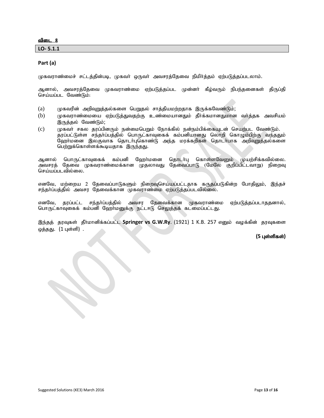**LO- 5.1.1** 

#### **Part (a)**

முகவராண்மைச் சட்டத்தின்படி, முகவர் ஒருவர் அவசரத்தேவை நிமிர்த்தம் ஏற்படுத்தப்படலாம்.

ஆனால், அவசரத்தேவை முகவராண்மை ஏற்படுத்தப்பட முன்னர் கீழ்வரும் நிபந்தனைகள் திருப்தி செய்யப்பட வேண்டும்:

- (a)  $\mu$ முகவரின் அறிவுறுத்தல்களை பெறுதல் சாத்தியமற்றதாக இருக்கவேண்டும்;
- (b) புகவராண்மையை ஏற்படுத்துவதற்கு உண்மையானதும் தீர்க்கமானதுமான வர்த்தக அவசியம் இருத்தல் வேண்டும்;
- (c) Kfth; rfy jug;gpdUk; ed;ikngWk; Nehf;fpy; ed;ek;gpf;ifAld; nraw;gl Ntz;Lk;. தரப்பட்டுள்ள சந்தாப்பத்தில் பொருட்காவுகைக் கம்பனியானது லொறி கொழும்பிற்கு வந்ததும் ஹேர்மனை இலகுவாக தொடர்புகொண்டு அந்த மரக்கறிகள் தொடர்பாக அறிவுறுத்தல்களை பெற்றுக்கொள்ளக்கூடியதாக இருந்தது.

ஆனால் பொருட்காவுகைக் கம்பனி ஹேர்மனை தொடர்பு கொள்ளவேனும் முயற்சிக்கவில்லை. அவசரத் தேவை முகவராண்மைக்கான முதலாவது தேவைப்பாடு (மேலே குறிப்பிட்டவாறு) நிறைவு செய்யப்படவில்லை.

எனவே, மற்றைய 2 தேவைப்பாடுகளும் நிறைவுசெய்யப்பட்டதாக கருதப்படுகின்ற போதிலும், இந்தச் சந்தா்ப்பத்தில் அவசர தேவைக்கான முகவராண்மை ஏற்படுத்தப்படவில்லை.

எனவே, தரப்பட்ட சந்தா்ப்பத்தில் அவசர தேவைக்கான முகவராண்மை ஏற்படுத்தப்படாததனால், பொருட்காவுகைக் கம்பனி ஹேர்மனுக்கு நட்டஈடு செலுத்தக் கடமைப்பட்டது.

இந்தத் தரவுகள் தீர்மானிக்கப்பட்ட Springer vs G.W.Ry. (1921) 1 K.B. 257 எனும் வழக்கின் தரவுகளை ஒத்தது. (1 புள்ளி).

**(5 புள்ளிகள்)**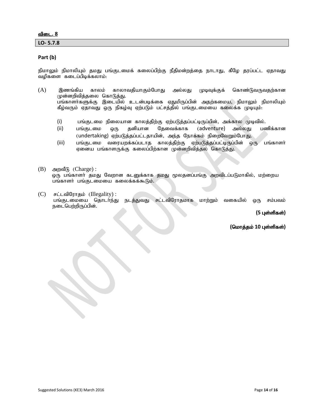#### <u>விடை. 8</u>

**LO- 5.7.8** 

#### **Part (b)**

நிமாலும் நிமாலியும் தமது பங்குடமைக் கலைப்பிற்கு நீதிமன்றத்தை நாடாது, கீழே தரப்பட்ட ஏதாவது வழிகளை கடைப்பிடிக்கலாம்:

- (A) இணங்கிய காலம் காலாவதியாகும்போது அல்லது முடிவுக்குக் கொண்டுவருவதற்கான முன்னறிவித்தலை கொடுத்து. பங்காளா்களுக்கு இடையில் உடன்படிக்கை ஏதுமிருப்பின் அதற்கமைய, நிமாலும் நிமாலியும் கீழ்வரும் ஏதாவது ஒரு நிகழ்வு ஏற்படும் பட்சத்தில் பங்குடமையை கலைக்க முடியும்:
	- (i) பங்குடமை நிலையான காலத்திற்கு ஏற்படுத்தப்பட்டிருப்பின், அக்கால முடிவில்.
	- (ii) பங்குடமை ஒரு தனியான தேவைக்காக (adventure) அல்லது பணிக்கான (undertaking) ஏற்படுத்தப்பட்டதாயின், அந்த நோக்கம் நிறைவேறும்போது.
	- (iii) பங்குடமை வரையறக்கப்படாத காலத்திற்கு ஏற்படுத்தப்பட்டிருப்பின் ஒரு பங்காளா் ஏனைய பங்காளருக்கு கலைப்பிற்கான முன்னறிவித்தல் கொடுத்து.
- $(B)$  அறவீடு  $(Change)$ : ஒரு பங்காளா் தமது வேறான கடனுக்காக தமது மூலதனப்பங்கு அறவிடப்படுமாகில், மற்றைய பங்காளர் பங்குடமையை கலைக்கக்கூடும்.
- $(C)$  சட்டவிரோதம் (Illegality) : பங்குடமையை தொடர்ந்து நடத்துவது சட்டவிரோதமாக மாற்றும் வகையில் ஒரு சம்பவம் நடைபெற்றிருப்பின்.

#### **(5 புள்ளிகள்)**

 $($ மொத்தம் 10 புள்ளிகள்)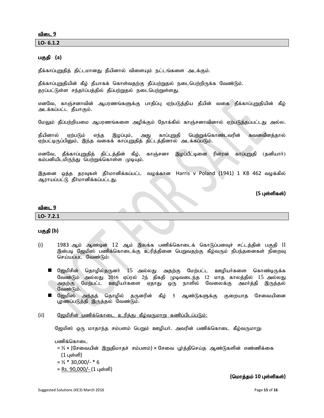**LO- 6.1.2** 

#### பகுதி (a)

தீக்காப்புறுதித் திட்டமானது தீயினால் விளையும் நட்டங்களை அடக்கும்.

தீக்காப்புறுதியின் கீழ் தீயாகக் கொள்வதற்கு தீப்பற்றுதல் நடைபெற்றிருக்க வேண்டும். தரப்பட்டுள்ள சந்தர்ப்பத்தில் தீப்பற்றுதல் நடைபெற்றுள்ளது.

எனவே, காஞ்சனாவின் ஆபரணங்களுக்கு பாதிப்பு ஏற்படுத்திய தீயின் வகை தீக்காப்புறுதியின் கீழ் அடக்கப்பட்ட தீயாகும்.

மேலும் தீப்பற்றியமை ஆபரணங்களை அழிக்கும் நோக்கில் காஞ்சனாவினால் ஏற்படுத்தப்பட்டது அல்ல.

தீயினால் ஏற்படும் எந்த இழப்பும், அது காப்புறுதி பெற்றுக்கொண்டவரின் கவனவீனத்தால் ஏற்பட்டிருப்பினும், இந்த வகைக் காப்புறுதித் திட்டத்தினால் அடக்கப்படும்.

எனவே, தீக்காப்புறுதித் திட்டத்தின் கீழ், காஞ்சனா இழப்பீட்டினை ரின்ரன் காப்புறுதி (தனியாா்) கம்பனியிடமிருந்து பெற்றுக்கொள்ள முடியும்.

இதனை ஒத்த தரவுகள் தீர்மானிக்கப்பட்ட வழக்கான Harris v Poland (1941) 1 KB 462 வழக்கில் ஆராயப்பட்டு தீர்மானிக்கப்பட்டது.

#### $(5 \text{ L} \cdot \text{C} \cdot \text{S} \cdot \text{D} \cdot \text{D} \cdot \text{D} \cdot \text{D} \cdot \text{D} \cdot \text{D} \cdot \text{D} \cdot \text{D} \cdot \text{D} \cdot \text{D} \cdot \text{D} \cdot \text{D} \cdot \text{D} \cdot \text{D} \cdot \text{D} \cdot \text{D} \cdot \text{D} \cdot \text{D} \cdot \text{D} \cdot \text{D} \cdot \text{D} \cdot \text{D} \cdot \text{D} \cdot \text{D} \cdot \text{D} \cdot \text{D} \cdot \text{D} \cdot \text{D} \cdot \$

#### விடை 9

**LO- 7.2.1** 

#### பகுதி (b)

- (i) 1983 ஆம் ஆண்டின் 12 ஆம் இலக்க பணிக்கொடைக் கொடுப்பனவச் சட்டத்தின் பகுதி II இன்படி ஜேமிஸ் பணிக்கொடைக்கு உரித்தினை பெறுவதற்கு கீழ்வரும் நிபந்தனைகள் நிறைவு செய்யப்பட வேண்டும்:
	- $\blacksquare$  ஜேமிசின் தொழில்தருனா் 15 அல்லது அதற்கு மேற்பட்ட ஊழியா்களை கொண்டிருக்க வேண்டும் அல்லது 2016 ஏப்ரல் 2ந் திகதி முடிவடைந்த 12 மாத காலத்தில் 15 அல்லது<br>அதற்கு மேற்பட்ட ஊழியர்களை ஏதாது ஒரு நாளில் வேலைக்கு அமர்த்தி இருத்தல் அதற்கு மேற்பட்ட ஊழியர்களை ஏதாது ஒரு நாளில் வேலைக்கு அமர்த்தி இருத்தல் வேண்டும்.
	- $\blacksquare$  ஜேமிஸ் அந்தத் தொழில் தருனரின் கீழ் 5 ஆண்டுகளுக்கு குறையாத சேவையினை பூரணப்படுத்தி இருத்தல் வேண்டும்.
- (ii) பெ<u>ல்மிசின் பணிக்கொடை உரிக்கு கீம்வருமாறு கணிப்பிடப்படும்:</u>

ஜேமிஸ் ஒரு மாதாந்த சம்பளம் பெறும் ஊழியா். அவரின் பணிக்கொடை கீழ்வருமாறு:

பணிக்கொடை

= ½ × (சேவையின் இறுதிமாதச் சம்பளம்) × சேவை பூர்த்திசெய்த ஆண்டுகளின் எண்ணிக்கை  $(1 \text{ L} \text{sim})$ 

- $= 1/2 * 30,000/ * 6$
- = Rs.  $90,000/-(1 \text{ L} \sin \theta)$

#### $($ மொத்தம் 10 புள்ளிகள்)